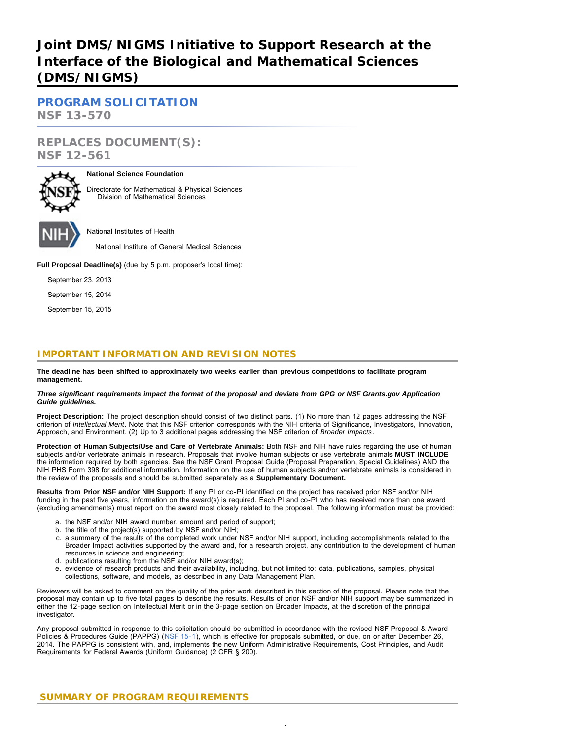# **Joint DMS/NIGMS Initiative to Support Research at the Interface of the Biological and Mathematical Sciences (DMS/NIGMS)**

**[PROGRAM SOLICITATION](#page-2-0) NSF 13-570**

**REPLACES DOCUMENT(S): NSF 12-561**



### **National Science Foundation**

Directorate for Mathematical & Physical Sciences Division of Mathematical Sciences

National Institutes of Health

National Institute of General Medical Sciences

**Full Proposal Deadline(s)** (due by 5 p.m. proposer's local time):

September 23, 2013

September 15, 2014

September 15, 2015

# **IMPORTANT INFORMATION AND REVISION NOTES**

**The deadline has been shifted to approximately two weeks earlier than previous competitions to facilitate program management.**

#### *Three significant requirements impact the format of the proposal and deviate from GPG or NSF Grants.gov Application Guide guidelines.*

**Project Description:** The project description should consist of two distinct parts. (1) No more than 12 pages addressing the NSF criterion of *Intellectual Merit*. Note that this NSF criterion corresponds with the NIH criteria of Significance, Investigators, Innovation, Approach, and Environment. (2) Up to 3 additional pages addressing the NSF criterion of *Broader Impacts*.

**Protection of Human Subjects/Use and Care of Vertebrate Animals:** Both NSF and NIH have rules regarding the use of human subjects and/or vertebrate animals in research. Proposals that involve human subjects or use vertebrate animals **MUST INCLUDE** the information required by both agencies. See the NSF Grant Proposal Guide (Proposal Preparation, Special Guidelines) AND the NIH PHS Form 398 for additional information. Information on the use of human subjects and/or vertebrate animals is considered in the review of the proposals and should be submitted separately as a **Supplementary Document.**

**Results from Prior NSF and/or NIH Support:** If any PI or co-PI identified on the project has received prior NSF and/or NIH funding in the past five years, information on the award(s) is required. Each PI and co-PI who has received more than one award (excluding amendments) must report on the award most closely related to the proposal. The following information must be provided:

- a. the NSF and/or NIH award number, amount and period of support;
- b. the title of the project(s) supported by NSF and/or NIH;
- c. a summary of the results of the completed work under NSF and/or NIH support, including accomplishments related to the Broader Impact activities supported by the award and, for a research project, any contribution to the development of human resources in science and engineering;
- d. publications resulting from the NSF and/or NIH award(s);
- e. evidence of research products and their availability, including, but not limited to: data, publications, samples, physical collections, software, and models, as described in any Data Management Plan.

Reviewers will be asked to comment on the quality of the prior work described in this section of the proposal. Please note that the proposal may contain up to five total pages to describe the results. Results of prior NSF and/or NIH support may be summarized in either the 12-page section on Intellectual Merit or in the 3-page section on Broader Impacts, at the discretion of the principal investigator.

<span id="page-0-0"></span>Any proposal submitted in response to this solicitation should be submitted in accordance with the revised NSF Proposal & Award Policies & Procedures Guide (PAPPG) ([NSF 15-1](http://www.nsf.gov/publications/pub_summ.jsp?ods_key=nsf15001)), which is effective for proposals submitted, or due, on or after December 26, 2014. The PAPPG is consistent with, and, implements the new Uniform Administrative Requirements, Cost Principles, and Audit Requirements for Federal Awards (Uniform Guidance) (2 CFR § 200).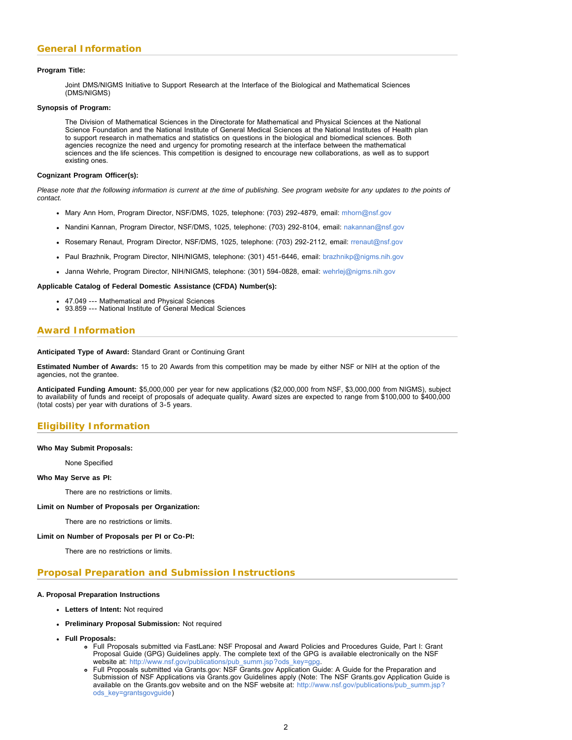#### **Program Title:**

Joint DMS/NIGMS Initiative to Support Research at the Interface of the Biological and Mathematical Sciences (DMS/NIGMS)

#### **Synopsis of Program:**

The Division of Mathematical Sciences in the Directorate for Mathematical and Physical Sciences at the National Science Foundation and the National Institute of General Medical Sciences at the National Institutes of Health plan to support research in mathematics and statistics on questions in the biological and biomedical sciences. Both agencies recognize the need and urgency for promoting research at the interface between the mathematical sciences and the life sciences. This competition is designed to encourage new collaborations, as well as to support existing ones.

#### **Cognizant Program Officer(s):**

*Please note that the following information is current at the time of publishing. See program website for any updates to the points of contact.*

- Mary Ann Horn, Program Director, NSF/DMS, 1025, telephone: (703) 292-4879, email: [mhorn@nsf.gov](mailto:mhorn@nsf.gov)
- Nandini Kannan, Program Director, NSF/DMS, 1025, telephone: (703) 292-8104, email: [nakannan@nsf.gov](mailto:nakannan@nsf.gov)
- Rosemary Renaut, Program Director, NSF/DMS, 1025, telephone: (703) 292-2112, email: [rrenaut@nsf.gov](mailto:rrenaut@nsf.gov)
- Paul Brazhnik, Program Director, NIH/NIGMS, telephone: (301) 451-6446, email: [brazhnikp@nigms.nih.gov](mailto:brazhnikp@nigms.nih.gov)
- Janna Wehrle, Program Director, NIH/NIGMS, telephone: (301) 594-0828, email: [wehrlej@nigms.nih.gov](mailto:wehrlej@nigms.nih.gov)

### **Applicable Catalog of Federal Domestic Assistance (CFDA) Number(s):**

- 47.049 --- Mathematical and Physical Sciences
- 93.859 --- National Institute of General Medical Sciences

### **Award Information**

**Anticipated Type of Award:** Standard Grant or Continuing Grant

**Estimated Number of Awards:** 15 to 20 Awards from this competition may be made by either NSF or NIH at the option of the agencies, not the grantee.

**Anticipated Funding Amount:** \$5,000,000 per year for new applications (\$2,000,000 from NSF, \$3,000,000 from NIGMS), subject to availability of funds and receipt of proposals of adequate quality. Award sizes are expected to range from \$100,000 to \$400,000 (total costs) per year with durations of 3-5 years.

# **Eligibility Information**

#### **Who May Submit Proposals:**

None Specified

#### **Who May Serve as PI:**

There are no restrictions or limits.

#### **Limit on Number of Proposals per Organization:**

There are no restrictions or limits.

#### **Limit on Number of Proposals per PI or Co-PI:**

There are no restrictions or limits.

### **Proposal Preparation and Submission Instructions**

#### **A. Proposal Preparation Instructions**

- **Letters of Intent:** Not required
- **Preliminary Proposal Submission:** Not required
- **Full Proposals:**
	- Full Proposals submitted via FastLane: NSF Proposal and Award Policies and Procedures Guide, Part I: Grant Proposal Guide (GPG) Guidelines apply. The complete text of the GPG is available electronically on the NSF website at: [http://www.nsf.gov/publications/pub\\_summ.jsp?ods\\_key=gpg.](http://www.nsf.gov/publications/pub_summ.jsp?ods_key=gpg)
	- Full Proposals submitted via Grants.gov: NSF Grants.gov Application Guide: A Guide for the Preparation and Submission of NSF Applications via Grants.gov Guidelines apply (Note: The NSF Grants.gov Application Guide is available on the Grants.gov website and on the NSF website at: [http://www.nsf.gov/publications/pub\\_summ.jsp?](http://www.nsf.gov/publications/pub_summ.jsp?ods_key=grantsgovguide) [ods\\_key=grantsgovguide\)](http://www.nsf.gov/publications/pub_summ.jsp?ods_key=grantsgovguide)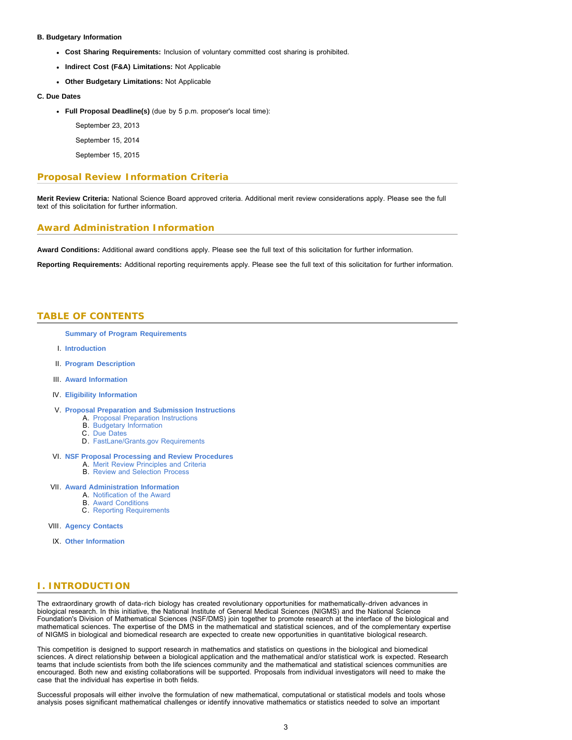#### **B. Budgetary Information**

- **Cost Sharing Requirements:** Inclusion of voluntary committed cost sharing is prohibited.
- **Indirect Cost (F&A) Limitations:** Not Applicable
- **Other Budgetary Limitations:** Not Applicable

#### **C. Due Dates**

**Full Proposal Deadline(s)** (due by 5 p.m. proposer's local time):

September 23, 2013

September 15, 2014

September 15, 2015

### **Proposal Review Information Criteria**

**Merit Review Criteria:** National Science Board approved criteria. Additional merit review considerations apply. Please see the full text of this solicitation for further information.

### **Award Administration Information**

**Award Conditions:** Additional award conditions apply. Please see the full text of this solicitation for further information.

<span id="page-2-0"></span>**Reporting Requirements:** Additional reporting requirements apply. Please see the full text of this solicitation for further information.

### **TABLE OF CONTENTS**

**[Summary of Program Requirements](#page-0-0)**

- I. **[Introduction](#page-2-1)**
- II. **[Program Description](#page-3-0)**
- III. **[Award Information](#page-3-1)**
- IV. **[Eligibility Information](#page-3-2)**
- V. **[Proposal Preparation and Submission Instructions](#page-3-3)**
	- A. [Proposal Preparation Instructions](#page-3-3)
	- B. [Budgetary Information](#page-4-0)
	- C. [Due Dates](#page-4-1)
	- D. [FastLane/Grants.gov Requirements](#page-4-2)

#### VI. **[NSF Proposal Processing and Review Procedures](#page-5-0)**

- A. [Merit Review Principles and Criteria](#page-5-1)
- **B.** [Review and Selection Process](#page-6-0)

### VII. **[Award Administration Information](#page-7-0)**

- A. [Notification of the Award](#page-7-1)
- B. [Award Conditions](#page-8-0)
- C. [Reporting Requirements](#page-8-1)

VIII. **[Agency Contacts](#page-8-2)**

IX. **[Other Information](#page-9-0)**

### <span id="page-2-1"></span>**I. INTRODUCTION**

The extraordinary growth of data-rich biology has created revolutionary opportunities for mathematically-driven advances in biological research. In this initiative, the National Institute of General Medical Sciences (NIGMS) and the National Science Foundation's Division of Mathematical Sciences (NSF/DMS) join together to promote research at the interface of the biological and mathematical sciences. The expertise of the DMS in the mathematical and statistical sciences, and of the complementary expertise of NIGMS in biological and biomedical research are expected to create new opportunities in quantitative biological research.

This competition is designed to support research in mathematics and statistics on questions in the biological and biomedical sciences. A direct relationship between a biological application and the mathematical and/or statistical work is expected. Research teams that include scientists from both the life sciences community and the mathematical and statistical sciences communities are encouraged. Both new and existing collaborations will be supported. Proposals from individual investigators will need to make the case that the individual has expertise in both fields.

Successful proposals will either involve the formulation of new mathematical, computational or statistical models and tools whose analysis poses significant mathematical challenges or identify innovative mathematics or statistics needed to solve an important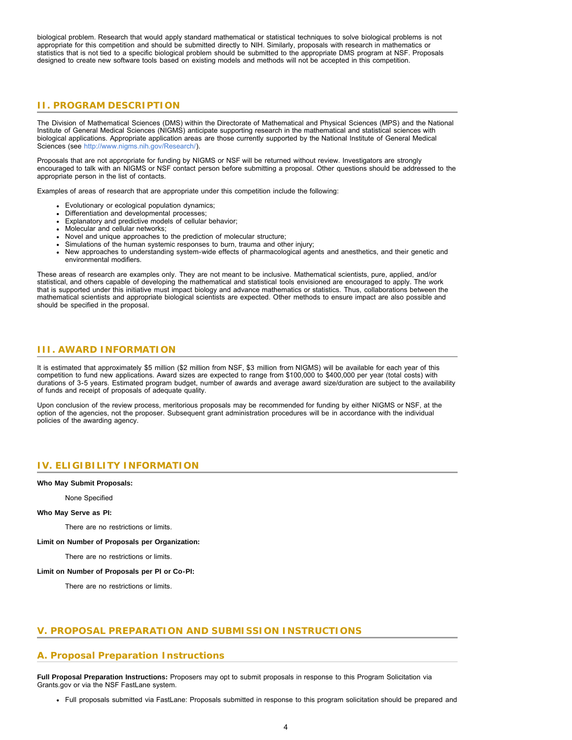biological problem. Research that would apply standard mathematical or statistical techniques to solve biological problems is not appropriate for this competition and should be submitted directly to NIH. Similarly, proposals with research in mathematics or statistics that is not tied to a specific biological problem should be submitted to the appropriate DMS program at NSF. Proposals designed to create new software tools based on existing models and methods will not be accepted in this competition.

## <span id="page-3-0"></span>**II. PROGRAM DESCRIPTION**

The Division of Mathematical Sciences (DMS) within the Directorate of Mathematical and Physical Sciences (MPS) and the National Institute of General Medical Sciences (NIGMS) anticipate supporting research in the mathematical and statistical sciences with biological applications. Appropriate application areas are those currently supported by the National Institute of General Medical Sciences (see <http://www.nigms.nih.gov/Research/>).

Proposals that are not appropriate for funding by NIGMS or NSF will be returned without review. Investigators are strongly encouraged to talk with an NIGMS or NSF contact person before submitting a proposal. Other questions should be addressed to the appropriate person in the list of contacts.

Examples of areas of research that are appropriate under this competition include the following:

- Evolutionary or ecological population dynamics;
- Differentiation and developmental processes;
- Explanatory and predictive models of cellular behavior;
- Molecular and cellular networks;
- Novel and unique approaches to the prediction of molecular structure;
- Simulations of the human systemic responses to burn, trauma and other injury;
- New approaches to understanding system-wide effects of pharmacological agents and anesthetics, and their genetic and environmental modifiers.

These areas of research are examples only. They are not meant to be inclusive. Mathematical scientists, pure, applied, and/or statistical, and others capable of developing the mathematical and statistical tools envisioned are encouraged to apply. The work that is supported under this initiative must impact biology and advance mathematics or statistics. Thus, collaborations between the mathematical scientists and appropriate biological scientists are expected. Other methods to ensure impact are also possible and should be specified in the proposal.

### <span id="page-3-1"></span>**III. AWARD INFORMATION**

It is estimated that approximately \$5 million (\$2 million from NSF, \$3 million from NIGMS) will be available for each year of this competition to fund new applications. Award sizes are expected to range from \$100,000 to \$400,000 per year (total costs) with durations of 3-5 years. Estimated program budget, number of awards and average award size/duration are subject to the availability of funds and receipt of proposals of adequate quality.

Upon conclusion of the review process, meritorious proposals may be recommended for funding by either NIGMS or NSF, at the option of the agencies, not the proposer. Subsequent grant administration procedures will be in accordance with the individual policies of the awarding agency.

### <span id="page-3-2"></span>**IV. ELIGIBILITY INFORMATION**

#### **Who May Submit Proposals:**

None Specified

#### **Who May Serve as PI:**

There are no restrictions or limits.

**Limit on Number of Proposals per Organization:**

There are no restrictions or limits.

#### **Limit on Number of Proposals per PI or Co-PI:**

There are no restrictions or limits.

### <span id="page-3-3"></span>**V. PROPOSAL PREPARATION AND SUBMISSION INSTRUCTIONS**

#### **A. Proposal Preparation Instructions**

**Full Proposal Preparation Instructions:** Proposers may opt to submit proposals in response to this Program Solicitation via Grants.gov or via the NSF FastLane system.

Full proposals submitted via FastLane: Proposals submitted in response to this program solicitation should be prepared and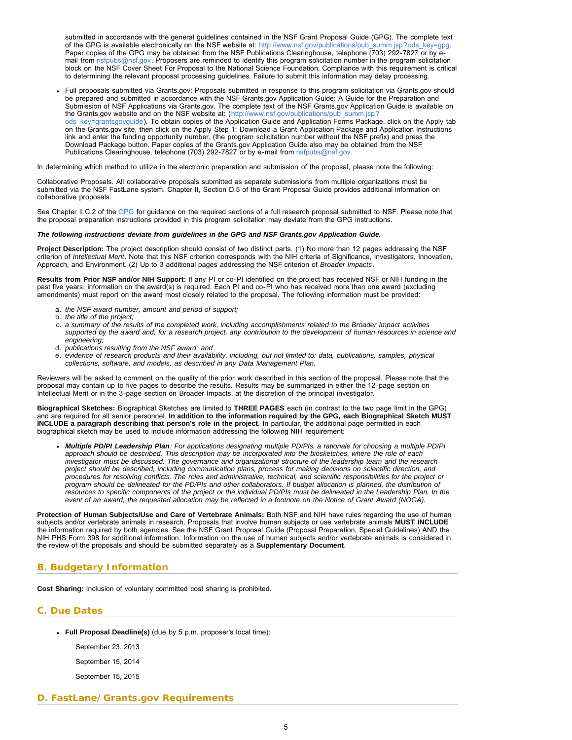<span id="page-4-1"></span>submitted in accordance with the general guidelines contained in the NSF Grant Proposal Guide (GPG). The complete text of the GPG is available electronically on the NSF website at: [http://www.nsf.gov/publications/pub\\_summ.jsp?ods\\_key=gpg.](http://www.nsf.gov/publications/pub_summ.jsp?ods_key=gpg) Paper copies of the GPG may be obtained from the NSF Publications Clearinghouse, telephone (703) 292-7827 or by email from [nsfpubs@nsf.gov.](mailto:nsfpubs@nsf.gov) Proposers are reminded to identify this program solicitation number in the program solicitation block on the NSF Cover Sheet For Proposal to the National Science Foundation. Compliance with this requirement is critical to determining the relevant proposal processing guidelines. Failure to submit this information may delay processing.

Full proposals submitted via Grants.gov: Proposals submitted in response to this program solicitation via Grants.gov should be prepared and submitted in accordance with the NSF Grants.gov Application Guide: A Guide for the Preparation and Submission of NSF Applications via Grants.gov. The complete text of the NSF Grants.gov Application Guide is available on the Grants.gov website and on the NSF website at: ([http://www.nsf.gov/publications/pub\\_summ.jsp?](http://www.nsf.gov/publications/pub_summ.jsp?ods_key=grantsgovguide) [ods\\_key=grantsgovguide\)](http://www.nsf.gov/publications/pub_summ.jsp?ods_key=grantsgovguide). To obtain copies of the Application Guide and Application Forms Package, click on the Apply tab on the Grants.gov site, then click on the Apply Step 1: Download a Grant Application Package and Application Instructions link and enter the funding opportunity number, (the program solicitation number without the NSF prefix) and press the Download Package button. Paper copies of the Grants.gov Application Guide also may be obtained from the NSF Publications Clearinghouse, telephone (703) 292-7827 or by e-mail from [nsfpubs@nsf.gov.](mailto:nsfpubs@nsf.gov)

In determining which method to utilize in the electronic preparation and submission of the proposal, please note the following:

Collaborative Proposals. All collaborative proposals submitted as separate submissions from multiple organizations must be submitted via the NSF FastLane system. Chapter II, Section D.5 of the Grant Proposal Guide provides additional information on collaborative proposals.

See Chapter II.C.2 of the [GPG](http://www.nsf.gov/publications/pub_summ.jsp?ods_key=gpg) for guidance on the required sections of a full research proposal submitted to NSF. Please note that the proposal preparation instructions provided in this program solicitation may deviate from the GPG instructions.

#### *The following instructions deviate from guidelines in the GPG and NSF Grants.gov Application Guide.*

**Project Description:** The project description should consist of two distinct parts. (1) No more than 12 pages addressing the NSF criterion of *Intellectual Merit*. Note that this NSF criterion corresponds with the NIH criteria of Significance, Investigators, Innovation, Approach, and Environment. (2) Up to 3 additional pages addressing the NSF criterion of *Broader Impacts*.

**Results from Prior NSF and/or NIH Support:** If any PI or co-PI identified on the project has received NSF or NIH funding in the past five years, information on the award(s) is required. Each PI and co-PI who has received more than one award (excluding amendments) must report on the award most closely related to the proposal. The following information must be provided:

- a. *the NSF award number, amount and period of support;*
- b. *the title of the project;*
- c. *a summary of the results of the completed work, including accomplishments related to the Broader Impact activities supported by the award and, for a research project, any contribution to the development of human resources in science and engineering;*
- d. *publications resulting from the NSF award; and*
- e. *evidence of research products and their availability, including, but not limited to: data, publications, samples, physical collections, software, and models, as described in any Data Management Plan.*

Reviewers will be asked to comment on the quality of the prior work described in this section of the proposal. Please note that the proposal may contain up to five pages to describe the results. Results may be summarized in either the 12-page section on Intellectual Merit or in the 3-page section on Broader Impacts, at the discretion of the principal investigator.

**Biographical Sketches:** Biographical Sketches are limited to **THREE PAGES** each (in contrast to the two page limit in the GPG) and are required for all senior personnel. **In addition to the information required by the GPG, each Biographical Sketch MUST INCLUDE a paragraph describing that person's role in the project.** In particular, the additional page permitted in each biographical sketch may be used to include information addressing the following NIH requirement:

*Multiple PD/PI Leadership Plan: For applications designating multiple PD/PIs, a rationale for choosing a multiple PD/PI approach should be described. This description may be incorporated into the biosketches, where the role of each investigator must be discussed. The governance and organizational structure of the leadership team and the research project should be described, including communication plans, process for making decisions on scientific direction, and procedures for resolving conflicts. The roles and administrative, technical, and scientific responsibilities for the project or program should be delineated for the PD/PIs and other collaborators. If budget allocation is planned, the distribution of resources to specific components of the project or the individual PD/PIs must be delineated in the Leadership Plan. In the event of an award, the requested allocation may be reflected in a footnote on the Notice of Grant Award (NOGA).*

**Protection of Human Subjects/Use and Care of Vertebrate Animals:** Both NSF and NIH have rules regarding the use of human subjects and/or vertebrate animals in research. Proposals that involve human subjects or use vertebrate animals **MUST INCLUDE** the information required by both agencies. See the NSF Grant Proposal Guide (Proposal Preparation, Special Guidelines) AND the NIH PHS Form 398 for additional information. Information on the use of human subjects and/or vertebrate animals is considered in the review of the proposals and should be submitted separately as a **Supplementary Document**.

### <span id="page-4-0"></span>**B. Budgetary Information**

**Cost Sharing:** Inclusion of voluntary committed cost sharing is prohibited.

#### **C. Due Dates**

- **Full Proposal Deadline(s)** (due by 5 p.m. proposer's local time):
	- September 23, 2013
	- September 15, 2014
	- September 15, 2015

### <span id="page-4-2"></span>**D. FastLane/Grants.gov Requirements**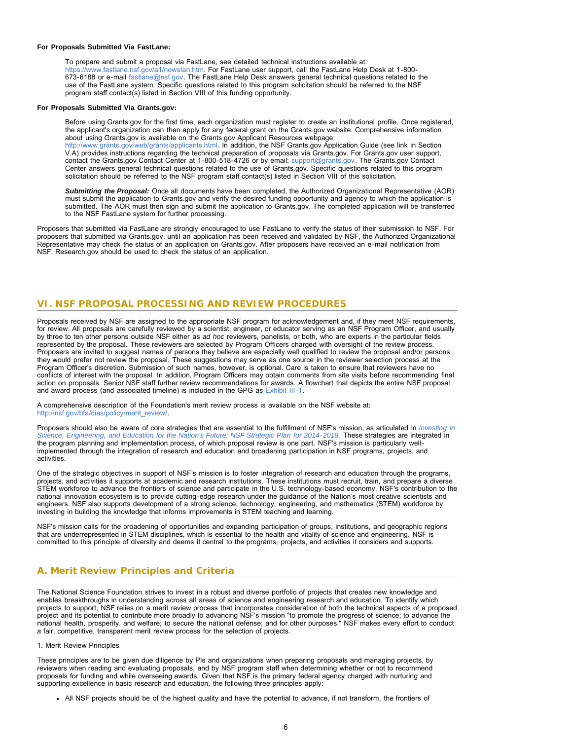#### **For Proposals Submitted Via FastLane:**

To prepare and submit a proposal via FastLane, see detailed technical instructions available at: [https://www.fastlane.nsf.gov/a1/newstan.htm.](https://www.fastlane.nsf.gov/a1/newstan.htm) For FastLane user support, call the FastLane Help Desk at 1-800- 673-6188 or e-mail [fastlane@nsf.gov.](mailto:fastlane@nsf.gov) The FastLane Help Desk answers general technical questions related to the use of the FastLane system. Specific questions related to this program solicitation should be referred to the NSF program staff contact(s) listed in Section VIII of this funding opportunity.

#### **For Proposals Submitted Via Grants.gov:**

Before using Grants.gov for the first time, each organization must register to create an institutional profile. Once registered, the applicant's organization can then apply for any federal grant on the Grants.gov website. Comprehensive information about using Grants.gov is available on the Grants.gov Applicant Resources webpage: [http://www.grants.gov/web/grants/applicants.html.](http://www.grants.gov/web/grants/applicants.html) In addition, the NSF Grants.gov Application Guide (see link in Section V.A) provides instructions regarding the technical preparation of proposals via Grants.gov. For Grants.gov user support, contact the Grants.gov Contact Center at 1-800-518-4726 or by email: [support@grants.gov](mailto:support@grants.gov). The Grants.gov Contact Center answers general technical questions related to the use of Grants.gov. Specific questions related to this program solicitation should be referred to the NSF program staff contact(s) listed in Section VIII of this solicitation.

*Submitting the Proposal:* Once all documents have been completed, the Authorized Organizational Representative (AOR) must submit the application to Grants.gov and verify the desired funding opportunity and agency to which the application is submitted. The AOR must then sign and submit the application to Grants.gov. The completed application will be transferred to the NSF FastLane system for further processing.

Proposers that submitted via FastLane are strongly encouraged to use FastLane to verify the status of their submission to NSF. For proposers that submitted via Grants.gov, until an application has been received and validated by NSF, the Authorized Organizational Representative may check the status of an application on Grants.gov. After proposers have received an e-mail notification from NSF, Research.gov should be used to check the status of an application.

### <span id="page-5-0"></span>**VI. NSF PROPOSAL PROCESSING AND REVIEW PROCEDURES**

Proposals received by NSF are assigned to the appropriate NSF program for acknowledgement and, if they meet NSF requirements, for review. All proposals are carefully reviewed by a scientist, engineer, or educator serving as an NSF Program Officer, and usually by three to ten other persons outside NSF either as *ad hoc* reviewers, panelists, or both, who are experts in the particular fields represented by the proposal. These reviewers are selected by Program Officers charged with oversight of the review process. Proposers are invited to suggest names of persons they believe are especially well qualified to review the proposal and/or persons they would prefer not review the proposal. These suggestions may serve as one source in the reviewer selection process at the Program Officer's discretion. Submission of such names, however, is optional. Care is taken to ensure that reviewers have no conflicts of interest with the proposal. In addition, Program Officers may obtain comments from site visits before recommending final action on proposals. Senior NSF staff further review recommendations for awards. A flowchart that depicts the entire NSF proposal and award process (and associated timeline) is included in the GPG as [Exhibit III-1](http://www.nsf.gov/pubs/policydocs/pappguide/nsf15001/gpg_3ex1.pdf).

A comprehensive description of the Foundation's merit review process is available on the NSF website at: [http://nsf.gov/bfa/dias/policy/merit\\_review/.](http://nsf.gov/bfa/dias/policy/merit_review/)

Proposers should also be aware of core strategies that are essential to the fulfillment of NSF's mission, as articulated in *[Investing in](http://www.nsf.gov/pubs/2014/nsf14043/nsf14043.pdf) [Science, Engineering, and Education for the Nation's Future: NSF Strategic Plan for 2014-2018](http://www.nsf.gov/pubs/2014/nsf14043/nsf14043.pdf)*. These strategies are integrated in the program planning and implementation process, of which proposal review is one part. NSF's mission is particularly wellimplemented through the integration of research and education and broadening participation in NSF programs, projects, and activities.

One of the strategic objectives in support of NSF's mission is to foster integration of research and education through the programs, projects, and activities it supports at academic and research institutions. These institutions must recruit, train, and prepare a diverse STEM workforce to advance the frontiers of science and participate in the U.S. technology-based economy. NSF's contribution to the national innovation ecosystem is to provide cutting-edge research under the guidance of the Nation's most creative scientists and engineers. NSF also supports development of a strong science, technology, engineering, and mathematics (STEM) workforce by investing in building the knowledge that informs improvements in STEM teaching and learning.

NSF's mission calls for the broadening of opportunities and expanding participation of groups, institutions, and geographic regions that are underrepresented in STEM disciplines, which is essential to the health and vitality of science and engineering. NSF is committed to this principle of diversity and deems it central to the programs, projects, and activities it considers and supports.

### <span id="page-5-1"></span>**A. Merit Review Principles and Criteria**

The National Science Foundation strives to invest in a robust and diverse portfolio of projects that creates new knowledge and enables breakthroughs in understanding across all areas of science and engineering research and education. To identify which projects to support, NSF relies on a merit review process that incorporates consideration of both the technical aspects of a proposed project and its potential to contribute more broadly to advancing NSF's mission "to promote the progress of science; to advance the national health, prosperity, and welfare; to secure the national defense; and for other purposes." NSF makes every effort to conduct a fair, competitive, transparent merit review process for the selection of projects.

#### 1. Merit Review Principles

These principles are to be given due diligence by PIs and organizations when preparing proposals and managing projects, by reviewers when reading and evaluating proposals, and by NSF program staff when determining whether or not to recommend proposals for funding and while overseeing awards. Given that NSF is the primary federal agency charged with nurturing and supporting excellence in basic research and education, the following three principles apply:

All NSF projects should be of the highest quality and have the potential to advance, if not transform, the frontiers of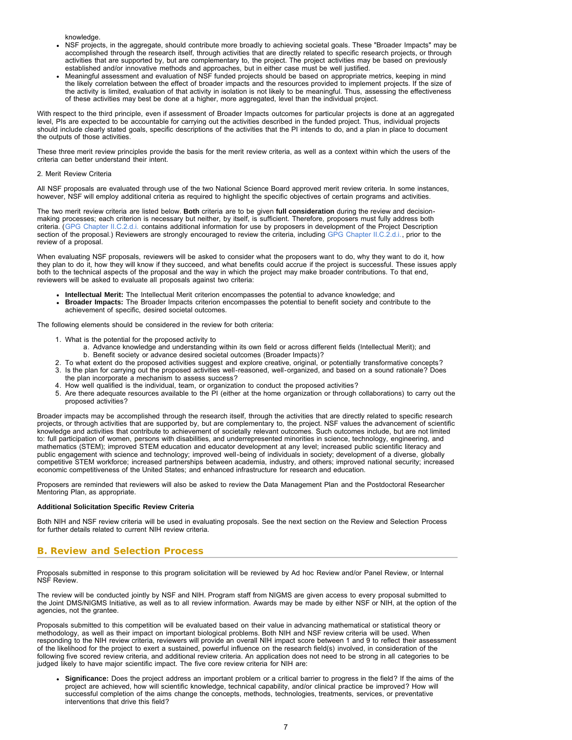knowledge.

- NSF projects, in the aggregate, should contribute more broadly to achieving societal goals. These "Broader Impacts" may be accomplished through the research itself, through activities that are directly related to specific research projects, or through activities that are supported by, but are complementary to, the project. The project activities may be based on previously established and/or innovative methods and approaches, but in either case must be well justified.
- Meaningful assessment and evaluation of NSF funded projects should be based on appropriate metrics, keeping in mind the likely correlation between the effect of broader impacts and the resources provided to implement projects. If the size of the activity is limited, evaluation of that activity in isolation is not likely to be meaningful. Thus, assessing the effectiveness of these activities may best be done at a higher, more aggregated, level than the individual project.

With respect to the third principle, even if assessment of Broader Impacts outcomes for particular projects is done at an aggregated level, PIs are expected to be accountable for carrying out the activities described in the funded project. Thus, individual projects should include clearly stated goals, specific descriptions of the activities that the PI intends to do, and a plan in place to document the outputs of those activities.

These three merit review principles provide the basis for the merit review criteria, as well as a context within which the users of the criteria can better understand their intent.

#### 2. Merit Review Criteria

All NSF proposals are evaluated through use of the two National Science Board approved merit review criteria. In some instances, however, NSF will employ additional criteria as required to highlight the specific objectives of certain programs and activities.

The two merit review criteria are listed below. **Both** criteria are to be given **full consideration** during the review and decisionmaking processes; each criterion is necessary but neither, by itself, is sufficient. Therefore, proposers must fully address both criteria. ([GPG Chapter II.C.2.d.i.](http://www.nsf.gov/pubs/policydocs/pappguide/nsf15001/gpg_2.jsp#IIC2di) contains additional information for use by proposers in development of the Project Description section of the proposal.) Reviewers are strongly encouraged to review the criteria, including [GPG Chapter II.C.2.d.i.,](http://www.nsf.gov/pubs/policydocs/pappguide/nsf15001/gpg_2.jsp#IIC2di) prior to the review of a proposal.

When evaluating NSF proposals, reviewers will be asked to consider what the proposers want to do, why they want to do it, how they plan to do it, how they will know if they succeed, and what benefits could accrue if the project is successful. These issues apply both to the technical aspects of the proposal and the way in which the project may make broader contributions. To that end, reviewers will be asked to evaluate all proposals against two criteria:

- **Intellectual Merit:** The Intellectual Merit criterion encompasses the potential to advance knowledge; and
- **Broader Impacts:** The Broader Impacts criterion encompasses the potential to benefit society and contribute to the achievement of specific, desired societal outcomes.

The following elements should be considered in the review for both criteria:

- 1. What is the potential for the proposed activity to
	- a. Advance knowledge and understanding within its own field or across different fields (Intellectual Merit); and b. Benefit society or advance desired societal outcomes (Broader Impacts)?
- 2. To what extent do the proposed activities suggest and explore creative, original, or potentially transformative concepts?
- 3. Is the plan for carrying out the proposed activities well-reasoned, well-organized, and based on a sound rationale? Does the plan incorporate a mechanism to assess success?
- 4. How well qualified is the individual, team, or organization to conduct the proposed activities?
- 5. Are there adequate resources available to the PI (either at the home organization or through collaborations) to carry out the proposed activities?

Broader impacts may be accomplished through the research itself, through the activities that are directly related to specific research projects, or through activities that are supported by, but are complementary to, the project. NSF values the advancement of scientific knowledge and activities that contribute to achievement of societally relevant outcomes. Such outcomes include, but are not limited to: full participation of women, persons with disabilities, and underrepresented minorities in science, technology, engineering, and mathematics (STEM); improved STEM education and educator development at any level; increased public scientific literacy and public engagement with science and technology; improved well-being of individuals in society; development of a diverse, globally competitive STEM workforce; increased partnerships between academia, industry, and others; improved national security; increased economic competitiveness of the United States; and enhanced infrastructure for research and education.

Proposers are reminded that reviewers will also be asked to review the Data Management Plan and the Postdoctoral Researcher Mentoring Plan, as appropriate.

#### **Additional Solicitation Specific Review Criteria**

Both NIH and NSF review criteria will be used in evaluating proposals. See the next section on the Review and Selection Process for further details related to current NIH review criteria.

### <span id="page-6-0"></span>**B. Review and Selection Process**

Proposals submitted in response to this program solicitation will be reviewed by Ad hoc Review and/or Panel Review, or Internal NSF Review.

The review will be conducted jointly by NSF and NIH. Program staff from NIGMS are given access to every proposal submitted to the Joint DMS/NIGMS Initiative, as well as to all review information. Awards may be made by either NSF or NIH, at the option of the agencies, not the grantee.

Proposals submitted to this competition will be evaluated based on their value in advancing mathematical or statistical theory or methodology, as well as their impact on important biological problems. Both NIH and NSF review criteria will be used. When responding to the NIH review criteria, reviewers will provide an overall NIH impact score between 1 and 9 to reflect their assessment of the likelihood for the project to exert a sustained, powerful influence on the research field(s) involved, in consideration of the following five scored review criteria, and additional review criteria. An application does not need to be strong in all categories to be judged likely to have major scientific impact. The five core review criteria for NIH are:

**Significance:** Does the project address an important problem or a critical barrier to progress in the field? If the aims of the project are achieved, how will scientific knowledge, technical capability, and/or clinical practice be improved? How will successful completion of the aims change the concepts, methods, technologies, treatments, services, or preventative interventions that drive this field?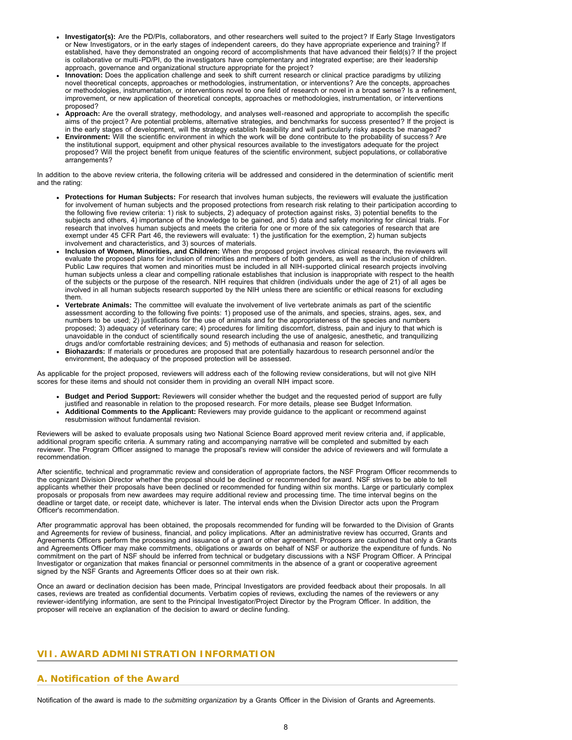- **Investigator(s):** Are the PD/PIs, collaborators, and other researchers well suited to the project? If Early Stage Investigators or New Investigators, or in the early stages of independent careers, do they have appropriate experience and training? If established, have they demonstrated an ongoing record of accomplishments that have advanced their field(s)? If the project is collaborative or multi-PD/PI, do the investigators have complementary and integrated expertise; are their leadership approach, governance and organizational structure appropriate for the project?
- **Innovation:** Does the application challenge and seek to shift current research or clinical practice paradigms by utilizing novel theoretical concepts, approaches or methodologies, instrumentation, or interventions? Are the concepts, approaches or methodologies, instrumentation, or interventions novel to one field of research or novel in a broad sense? Is a refinement, improvement, or new application of theoretical concepts, approaches or methodologies, instrumentation, or interventions proposed?
- **Approach:** Are the overall strategy, methodology, and analyses well-reasoned and appropriate to accomplish the specific aims of the project? Are potential problems, alternative strategies, and benchmarks for success presented? If the project is in the early stages of development, will the strategy establish feasibility and will particularly risky aspects be managed?
- **Environment:** Will the scientific environment in which the work will be done contribute to the probability of success? Are the institutional support, equipment and other physical resources available to the investigators adequate for the project proposed? Will the project benefit from unique features of the scientific environment, subject populations, or collaborative arrangements?

In addition to the above review criteria, the following criteria will be addressed and considered in the determination of scientific merit and the rating:

- **Protections for Human Subjects:** For research that involves human subjects, the reviewers will evaluate the justification for involvement of human subjects and the proposed protections from research risk relating to their participation according to the following five review criteria: 1) risk to subjects, 2) adequacy of protection against risks, 3) potential benefits to the subjects and others, 4) importance of the knowledge to be gained, and 5) data and safety monitoring for clinical trials. For research that involves human subjects and meets the criteria for one or more of the six categories of research that are exempt under 45 CFR Part 46, the reviewers will evaluate: 1) the justification for the exemption, 2) human subjects involvement and characteristics, and 3) sources of materials.
- **Inclusion of Women, Minorities, and Children:** When the proposed project involves clinical research, the reviewers will evaluate the proposed plans for inclusion of minorities and members of both genders, as well as the inclusion of children. Public Law requires that women and minorities must be included in all NIH-supported clinical research projects involving human subjects unless a clear and compelling rationale establishes that inclusion is inappropriate with respect to the health of the subjects or the purpose of the research. NIH requires that children (individuals under the age of 21) of all ages be involved in all human subjects research supported by the NIH unless there are scientific or ethical reasons for excluding them.
- **Vertebrate Animals:** The committee will evaluate the involvement of live vertebrate animals as part of the scientific assessment according to the following five points: 1) proposed use of the animals, and species, strains, ages, sex, and numbers to be used; 2) justifications for the use of animals and for the appropriateness of the species and numbers proposed; 3) adequacy of veterinary care; 4) procedures for limiting discomfort, distress, pain and injury to that which is unavoidable in the conduct of scientifically sound research including the use of analgesic, anesthetic, and tranquilizing drugs and/or comfortable restraining devices; and 5) methods of euthanasia and reason for selection.
- **Biohazards:** If materials or procedures are proposed that are potentially hazardous to research personnel and/or the environment, the adequacy of the proposed protection will be assessed.

As applicable for the project proposed, reviewers will address each of the following review considerations, but will not give NIH scores for these items and should not consider them in providing an overall NIH impact score.

**Budget and Period Support:** Reviewers will consider whether the budget and the requested period of support are fully justified and reasonable in relation to the proposed research. For more details, please see Budget Information. **Additional Comments to the Applicant:** Reviewers may provide guidance to the applicant or recommend against resubmission without fundamental revision.

Reviewers will be asked to evaluate proposals using two National Science Board approved merit review criteria and, if applicable, additional program specific criteria. A summary rating and accompanying narrative will be completed and submitted by each reviewer. The Program Officer assigned to manage the proposal's review will consider the advice of reviewers and will formulate a recommendation.

After scientific, technical and programmatic review and consideration of appropriate factors, the NSF Program Officer recommends to the cognizant Division Director whether the proposal should be declined or recommended for award. NSF strives to be able to tell applicants whether their proposals have been declined or recommended for funding within six months. Large or particularly complex proposals or proposals from new awardees may require additional review and processing time. The time interval begins on the deadline or target date, or receipt date, whichever is later. The interval ends when the Division Director acts upon the Program Officer's recommendation.

After programmatic approval has been obtained, the proposals recommended for funding will be forwarded to the Division of Grants and Agreements for review of business, financial, and policy implications. After an administrative review has occurred, Grants and Agreements Officers perform the processing and issuance of a grant or other agreement. Proposers are cautioned that only a Grants and Agreements Officer may make commitments, obligations or awards on behalf of NSF or authorize the expenditure of funds. No commitment on the part of NSF should be inferred from technical or budgetary discussions with a NSF Program Officer. A Principal Investigator or organization that makes financial or personnel commitments in the absence of a grant or cooperative agreement signed by the NSF Grants and Agreements Officer does so at their own risk.

Once an award or declination decision has been made, Principal Investigators are provided feedback about their proposals. In all cases, reviews are treated as confidential documents. Verbatim copies of reviews, excluding the names of the reviewers or any reviewer-identifying information, are sent to the Principal Investigator/Project Director by the Program Officer. In addition, the proposer will receive an explanation of the decision to award or decline funding.

# <span id="page-7-0"></span>**VII. AWARD ADMINISTRATION INFORMATION**

# <span id="page-7-1"></span>**A. Notification of the Award**

Notification of the award is made to *the submitting organization* by a Grants Officer in the Division of Grants and Agreements.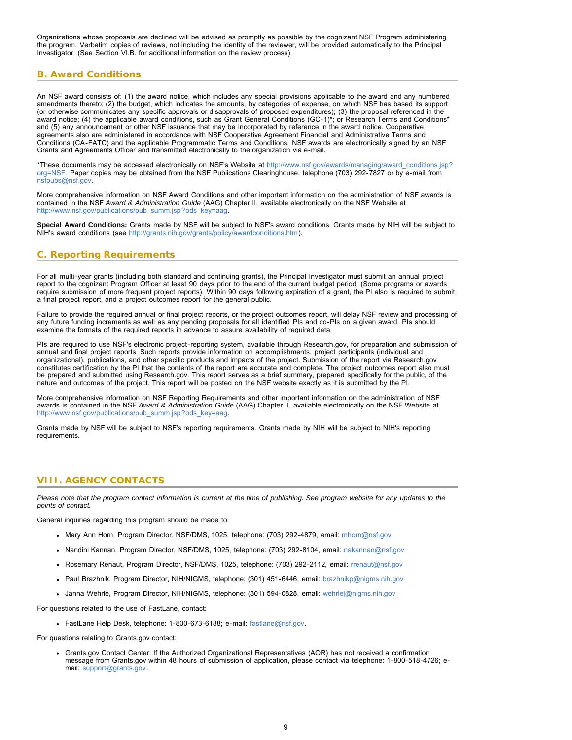Organizations whose proposals are declined will be advised as promptly as possible by the cognizant NSF Program administering the program. Verbatim copies of reviews, not including the identity of the reviewer, will be provided automatically to the Principal Investigator. (See Section VI.B. for additional information on the review process).

# <span id="page-8-0"></span>**B. Award Conditions**

An NSF award consists of: (1) the award notice, which includes any special provisions applicable to the award and any numbered amendments thereto; (2) the budget, which indicates the amounts, by categories of expense, on which NSF has based its support (or otherwise communicates any specific approvals or disapprovals of proposed expenditures); (3) the proposal referenced in the award notice; (4) the applicable award conditions, such as Grant General Conditions (GC-1)\*; or Research Terms and Conditions\* and (5) any announcement or other NSF issuance that may be incorporated by reference in the award notice. Cooperative agreements also are administered in accordance with NSF Cooperative Agreement Financial and Administrative Terms and Conditions (CA-FATC) and the applicable Programmatic Terms and Conditions. NSF awards are electronically signed by an NSF Grants and Agreements Officer and transmitted electronically to the organization via e-mail.

\*These documents may be accessed electronically on NSF's Website at [http://www.nsf.gov/awards/managing/award\\_conditions.jsp?](http://www.nsf.gov/awards/managing/award_conditions.jsp?org=NSF) [org=NSF.](http://www.nsf.gov/awards/managing/award_conditions.jsp?org=NSF) Paper copies may be obtained from the NSF Publications Clearinghouse, telephone (703) 292-7827 or by e-mail from [nsfpubs@nsf.gov.](mailto:nsfpubs@nsf.gov)

More comprehensive information on NSF Award Conditions and other important information on the administration of NSF awards is contained in the NSF *Award & Administration Guide* (AAG) Chapter II, available electronically on the NSF Website at [http://www.nsf.gov/publications/pub\\_summ.jsp?ods\\_key=aag.](http://www.nsf.gov/publications/pub_summ.jsp?ods_key=aag)

**Special Award Conditions:** Grants made by NSF will be subject to NSF's award conditions. Grants made by NIH will be subject to NIH's award conditions (see [http://grants.nih.gov/grants/policy/awardconditions.htm\)](http://grants.nih.gov/grants/policy/awardconditions.htm).

# <span id="page-8-1"></span>**C. Reporting Requirements**

For all multi-year grants (including both standard and continuing grants), the Principal Investigator must submit an annual project report to the cognizant Program Officer at least 90 days prior to the end of the current budget period. (Some programs or awards require submission of more frequent project reports). Within 90 days following expiration of a grant, the PI also is required to submit a final project report, and a project outcomes report for the general public.

Failure to provide the required annual or final project reports, or the project outcomes report, will delay NSF review and processing of any future funding increments as well as any pending proposals for all identified PIs and co-PIs on a given award. PIs should examine the formats of the required reports in advance to assure availability of required data.

PIs are required to use NSF's electronic project-reporting system, available through Research.gov, for preparation and submission of annual and final project reports. Such reports provide information on accomplishments, project participants (individual and organizational), publications, and other specific products and impacts of the project. Submission of the report via Research.gov constitutes certification by the PI that the contents of the report are accurate and complete. The project outcomes report also must be prepared and submitted using Research.gov. This report serves as a brief summary, prepared specifically for the public, of the nature and outcomes of the project. This report will be posted on the NSF website exactly as it is submitted by the PI.

More comprehensive information on NSF Reporting Requirements and other important information on the administration of NSF awards is contained in the NSF *Award & Administration Guide* (AAG) Chapter II, available electronically on the NSF Website at [http://www.nsf.gov/publications/pub\\_summ.jsp?ods\\_key=aag.](http://www.nsf.gov/publications/pub_summ.jsp?ods_key=aag)

Grants made by NSF will be subject to NSF's reporting requirements. Grants made by NIH will be subject to NIH's reporting requirements.

# <span id="page-8-2"></span>**VIII. AGENCY CONTACTS**

*Please note that the program contact information is current at the time of publishing. See program website for any updates to the points of contact.*

General inquiries regarding this program should be made to:

- Mary Ann Horn, Program Director, NSF/DMS, 1025, telephone: (703) 292-4879, email: [mhorn@nsf.gov](mailto:mhorn@nsf.gov)
- Nandini Kannan, Program Director, NSF/DMS, 1025, telephone: (703) 292-8104, email: [nakannan@nsf.gov](mailto:nakannan@nsf.gov)
- Rosemary Renaut, Program Director, NSF/DMS, 1025, telephone: (703) 292-2112, email: [rrenaut@nsf.gov](mailto:rrenaut@nsf.gov)
- Paul Brazhnik, Program Director, NIH/NIGMS, telephone: (301) 451-6446, email: [brazhnikp@nigms.nih.gov](mailto:brazhnikp@nigms.nih.gov)
- Janna Wehrle, Program Director, NIH/NIGMS, telephone: (301) 594-0828, email: [wehrlej@nigms.nih.gov](mailto:wehrlej@nigms.nih.gov)

For questions related to the use of FastLane, contact:

FastLane Help Desk, telephone: 1-800-673-6188; e-mail: [fastlane@nsf.gov.](mailto:fastlane@nsf.gov)

For questions relating to Grants.gov contact:

Grants.gov Contact Center: If the Authorized Organizational Representatives (AOR) has not received a confirmation message from Grants.gov within 48 hours of submission of application, please contact via telephone: 1-800-518-4726; email: [support@grants.gov.](mailto:support@grants.gov)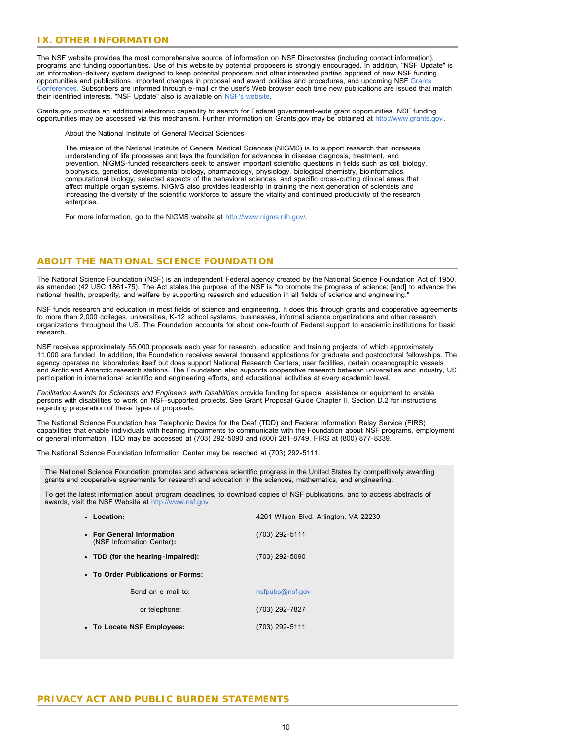### <span id="page-9-0"></span>**IX. OTHER INFORMATION**

The NSF website provides the most comprehensive source of information on NSF Directorates (including contact information), programs and funding opportunities. Use of this website by potential proposers is strongly encouraged. In addition, "NSF Update" is an information-delivery system designed to keep potential proposers and other interested parties apprised of new NSF funding opportunities and publications, important changes in proposal and award policies and procedures, and upcoming NSF [Grants](http://www.nsf.gov/bfa/dias/policy/outreach.jsp) [Conferences.](http://www.nsf.gov/bfa/dias/policy/outreach.jsp) Subscribers are informed through e-mail or the user's Web browser each time new publications are issued that match their identified interests. "NSF Update" also is available on [NSF's website.](http://www.nsf.gov/cgi-bin/goodbye?https://public.govdelivery.com/accounts/USNSF/subscriber/new?topic_id=USNSF_179)

Grants.gov provides an additional electronic capability to search for Federal government-wide grant opportunities. NSF funding opportunities may be accessed via this mechanism. Further information on Grants.gov may be obtained at [http://www.grants.gov.](http://www.grants.gov/)

About the National Institute of General Medical Sciences

The mission of the National Institute of General Medical Sciences (NIGMS) is to support research that increases understanding of life processes and lays the foundation for advances in disease diagnosis, treatment, and prevention. NIGMS-funded researchers seek to answer important scientific questions in fields such as cell biology, biophysics, genetics, developmental biology, pharmacology, physiology, biological chemistry, bioinformatics, computational biology, selected aspects of the behavioral sciences, and specific cross-cutting clinical areas that affect multiple organ systems. NIGMS also provides leadership in training the next generation of scientists and increasing the diversity of the scientific workforce to assure the vitality and continued productivity of the research enterprise.

For more information, go to the NIGMS website at [http://www.nigms.nih.gov/.](http://www.nigms.nih.gov/)

### **ABOUT THE NATIONAL SCIENCE FOUNDATION**

The National Science Foundation (NSF) is an independent Federal agency created by the National Science Foundation Act of 1950, as amended (42 USC 1861-75). The Act states the purpose of the NSF is "to promote the progress of science; [and] to advance the national health, prosperity, and welfare by supporting research and education in all fields of science and engineering."

NSF funds research and education in most fields of science and engineering. It does this through grants and cooperative agreements to more than 2,000 colleges, universities, K-12 school systems, businesses, informal science organizations and other research organizations throughout the US. The Foundation accounts for about one-fourth of Federal support to academic institutions for basic research.

NSF receives approximately 55,000 proposals each year for research, education and training projects, of which approximately 11,000 are funded. In addition, the Foundation receives several thousand applications for graduate and postdoctoral fellowships. The agency operates no laboratories itself but does support National Research Centers, user facilities, certain oceanographic vessels and Arctic and Antarctic research stations. The Foundation also supports cooperative research between universities and industry, US participation in international scientific and engineering efforts, and educational activities at every academic level.

*Facilitation Awards for Scientists and Engineers with Disabilities* provide funding for special assistance or equipment to enable persons with disabilities to work on NSF-supported projects. See Grant Proposal Guide Chapter II, Section D.2 for instructions regarding preparation of these types of proposals.

The National Science Foundation has Telephonic Device for the Deaf (TDD) and Federal Information Relay Service (FIRS) capabilities that enable individuals with hearing impairments to communicate with the Foundation about NSF programs, employment or general information. TDD may be accessed at (703) 292-5090 and (800) 281-8749, FIRS at (800) 877-8339.

The National Science Foundation Information Center may be reached at (703) 292-5111.

The National Science Foundation promotes and advances scientific progress in the United States by competitively awarding grants and cooperative agreements for research and education in the sciences, mathematics, and engineering.

To get the latest information about program deadlines, to download copies of NSF publications, and to access abstracts of awards, visit the NSF Website at [http://www.nsf.gov](http://www.nsf.gov/)

| • Location:                                            | 4201 Wilson Blvd. Arlington, VA 22230 |  |  |  |  |
|--------------------------------------------------------|---------------------------------------|--|--|--|--|
| • For General Information<br>(NSF Information Center): | (703) 292-5111                        |  |  |  |  |
| • TDD (for the hearing-impaired):                      | (703) 292-5090                        |  |  |  |  |
| • To Order Publications or Forms:                      |                                       |  |  |  |  |
| Send an e-mail to:                                     | nsfpubs@nsf.gov                       |  |  |  |  |
| or telephone:                                          | (703) 292-7827                        |  |  |  |  |
| • To Locate NSF Employees:                             | (703) 292-5111                        |  |  |  |  |
|                                                        |                                       |  |  |  |  |